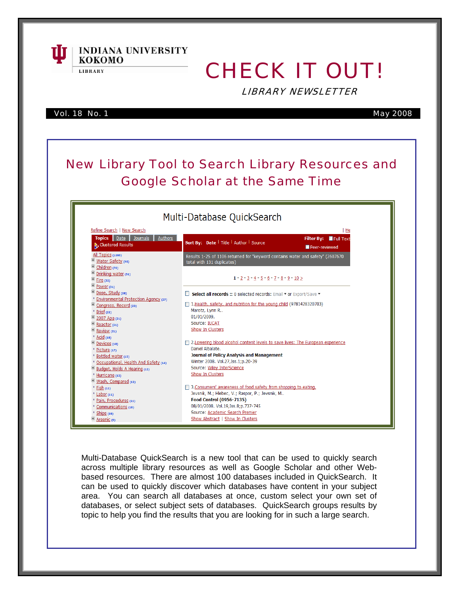

# CHECK IT OUT!

LIBRARY NEWSLETTER

Vol. 18 No. 1 May 2008

кокомо **LIBRARY** 

**INDIANA UNIVERSITY** 

#### New Library Tool to Search Library Resources and Google Scholar at the Same Time Multi-Database QuickSearch Refine Search | New Search  $H$ Topics Date Journals Authors Filter By: Full Text Sort By: Date | Title | Author | Source Clustered Results Peer-reviewed All Topics (1106)<br>El Water Safety (96) Results 1-25 of 1106 returned for "keyword contains water and safety" (2607670 total with 131 duplicates) Children (76) Drinking water (51)  $1 - 2 - 3 - 4 - 5 - 6 - 7 - 8 - 9 - 10 >$  $\overline{F}$  Fire (32)  $\overline{P}$  Power (31) Dose, Study (28) Select all records :: 0 selected records: Email v or Export/Save v \* Environmental Protection Agency (27) 1. Health, safety, and nutrition for the young child (9781428320703) Congress, Record (23) Marotz, Lynn R..  $Brief(22)$  $\frac{1}{2007}$  Apa (21) 01/01/2009.  $\overline{B}$  Reactor (21) Source: IUCAT Show In Clusters  $\overline{+}$  Review (21)  $Acid(18)$ Devices (18) 2. Lowering blood alcohol content levels to save lives: The European experience Daniel Albalate. \* Picture (17) **Journal of Policy Analysis and Management** " Bottled water (15) \* Occupational, Health And Safety (14) Winter 2008, Vol.27.Iss.1:p.20-39 Budget, Holds A Hearing (12) Source: Wiley InterScience Show In Clusters <sup>\*</sup> Hurricane (12) Wash, Compared (12) 3. Consumers' awareness of food safety from shopping to eating.  $E$  Fish (11) Jevsnik, M.; Hlebec, V.; Raspor, P.; Jevsnik, M..  $\frac{1}{2}$  Labor (11) Food Control (0956-7135) \* Pain, Procedures (11) 08/01/2008. Vol.19, Iss.8; p.737-745 Communications (10)  $"$  Ships (10) Source: Academic Search Premier Arsenic (9) Show Abstract | Show In Clusters

Multi-Database QuickSearch is a new tool that can be used to quickly search across multiple library resources as well as Google Scholar and other Webbased resources. There are almost 100 databases included in QuickSearch. It can be used to quickly discover which databases have content in your subject area. You can search all databases at once, custom select your own set of databases, or select subject sets of databases. QuickSearch groups results by topic to help you find the results that you are looking for in such a large search.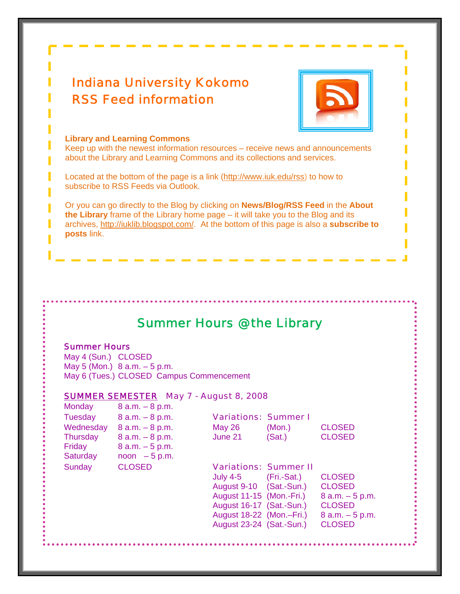## Indiana University Kokomo RSS Feed information



#### **Library and Learning Commons**

Keep up with the newest information resources – receive news and announcements about the Library and Learning Commons and its collections and services.

Located at the bottom of the page is a link (http://www.iuk.edu/rss) to how to subscribe to RSS Feeds via Outlook.

Or you can go directly to the Blog by clicking on **News/Blog/RSS Feed** in the **About the Library** frame of the Library home page – it will take you to the Blog and its archives, [http://iuklib.blogspot.com/.](http://www.iuk.edu/rss) At the bottom of this page is also a **subscribe to posts** link.

### Summer Hours @ the Library

#### Summer Hours

May 4 (Sun.) CLOSED May 5 (Mon.) 8 a.m. – 5 p.m. May 6 (Tues.) CLOSED Campus Commencement

#### SUMMER SEMESTER May 7 - August 8, 2008

| Monday          | $8$ a.m. $-8$ p.m. |                              |           |               |
|-----------------|--------------------|------------------------------|-----------|---------------|
| <b>Tuesday</b>  | $8 a.m. - 8 p.m.$  | <b>Variations: Summer I</b>  |           |               |
| Wednesday       | $8$ a.m. $-8$ p.m. | <b>May 26</b>                | (Mon.)    | <b>CLOSED</b> |
| <b>Thursday</b> | $8 a.m. - 8 p.m.$  | June 21                      | (Sat.)    | <b>CLOSED</b> |
| Friday          | $8 a.m. - 5 p.m.$  |                              |           |               |
| Saturday        | $noon - 5 p.m.$    |                              |           |               |
| Sunday          | <b>CLOSED</b>      | <b>Variations: Summer II</b> |           |               |
|                 |                    | 1.1.7.4.7                    | $(T - 1)$ | OL OOFD       |

| <b>Variations: Summer I</b> |        |               |
|-----------------------------|--------|---------------|
| <b>May 26</b>               | (Mon.) | <b>CLOSED</b> |
| June 21                     | (Sat.) | <b>CLOSED</b> |
|                             |        |               |
|                             |        |               |

#### **Additions: Summer II**

July 4-5 (Fri.-Sat.) CLOSED August 9-10 (Sat.-Sun.) CLOSED August 11-15 (Mon.-Fri.) 8 a.m. – 5 p.m. August 16-17 (Sat.-Sun.) CLOSED August 18-22  $(Mon-Fri.)$  8 a.m.  $-5$  p.m. August 23-24 (Sat.-Sun.) CLOSED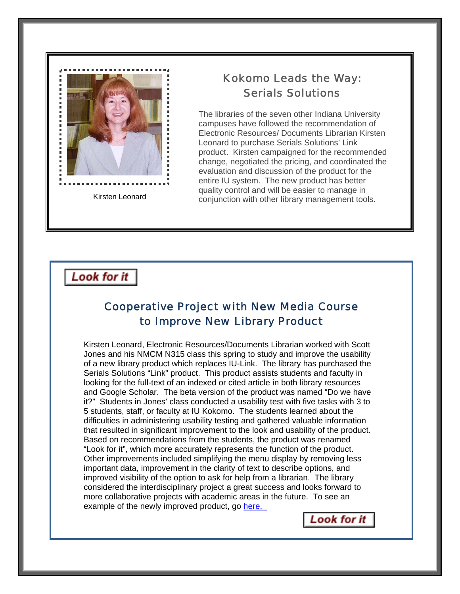

#### Ï Kokomo Leads the Way: Serials Solutions

The libraries of the seven other Indiana University campuses have followed the recommendation of Electronic Resources/ Documents Librarian Kirsten Leonard to purchase Serials Solutions' Link product. Kirsten campaigned for the recommended change, negotiated the pricing, and coordinated the evaluation and discussion of the product for the entire IU system. The new product has better quality control and will be easier to manage in conjunction with other library management tools.

### Look for it

### Cooperative Project with New Media Course to Improve New Library Product

Kirsten Leonard, Electronic Resources/Documents Librarian worked with Scott Jones and his NMCM N315 class this spring to study and improve the usability of a new library product which replaces IU-Link. The library has purchased the Serials Solutions "Link" product. This product assists students and faculty in looking for the full-text of an indexed or cited article in both library resources and Google Scholar. The beta version of the product was named "Do we have it?" Students in Jones' class conducted a usability test with five tasks with 3 to 5 students, staff, or faculty at IU Kokomo. The students learned about the difficulties in administering usability testing and gathered valuable information that resulted in significant improvement to the look and usability of the product. Based on recommendations from the students, the product was renamed "Look for it", which more accurately represents the function of the product. Other improvements included simplifying the menu display by removing less important data, improvement in the clarity of text to describe options, and improved visibility of the option to ask for help from a librarian. The library considered the interdisciplinary project a great success and looks forward to more collaborative projects with academic areas in the future. To see an example of the newly improved product, go [here.](http://te6uz4hk6z.search.serialssolutions.com/?sid=CentralSearch:BDC&genre=article&atitle=Personality+pathways+to+impulsive+behavior+and+their+relations+to+deviance%3A+Results+from+three+samples&volume=20&issue=4&title=Journal+of+Quantitative+Criminology&i) 

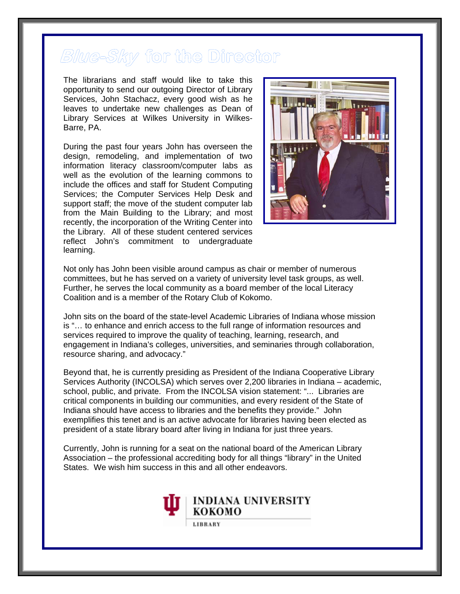# Blue-Sky for the Director

The librarians and staff would like to take this opportunity to send our outgoing Director of Library Services, John Stachacz, every good wish as he leaves to undertake new challenges as Dean of Library Services at Wilkes University in Wilkes-Barre, PA.

During the past four years John has overseen the design, remodeling, and implementation of two information literacy classroom/computer labs as well as the evolution of the learning commons to include the offices and staff for Student Computing Services; the Computer Services Help Desk and support staff; the move of the student computer lab from the Main Building to the Library; and most recently, the incorporation of the Writing Center into the Library. All of these student centered services reflect John's commitment to undergra duate le arning.



Not only has John been visible around campus as chair or member of numerous . committees, but he has served on a variety of university level task groups, as well Further, he serves the local community as a board member of the local Literacy Coalition and is a member of the Rotary Club of Kokomo.

John sits on the board of the state-level Academic Libraries of Indiana whose mission engagement in Indiana's colleges, universities, and seminaries through collaboration, is "… to enhance and enrich access to the full range of information resources and services required to improve the quality of teaching, learning, research, and resource sharing, and advocacy."

Beyond that, he is currently presiding as President of the Indiana Cooperative Library Services Authority (INCOLSA) which serves over 2,200 libraries in Indiana – academic, exemplifies this tenet and is an active advocate for libraries having been elected as school, public, and private. From the INCOLSA vision statement: "... Libraries are critical components in building our communities, and every resident of the State of Indiana should have access to libraries and the benefits they provide." John president of a state library board after living in Indiana for just three years.

Currently, John is running for a seat on the national board of the American Library Association – the professional accrediting body for all things "library" in the United States. We wish him success in this and all other endeavors.

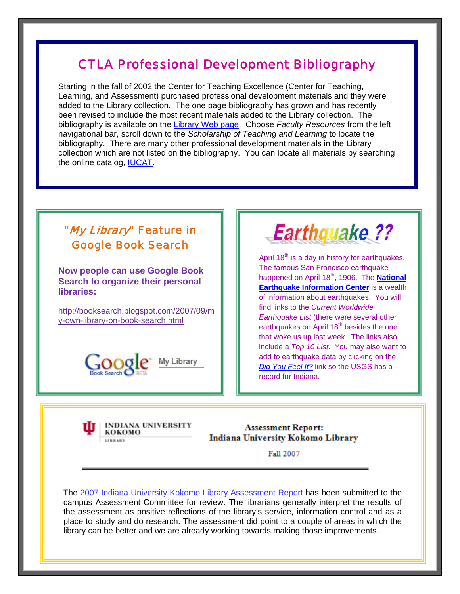### [CTLA Professional Development Bibliography](http://www.iuk.edu/%7Ekolibry/docs/CTLAProfDevCollBibl.pdf)

Starting in the fall of 2002 the Center for Teaching Excellence (Center for Teaching, Learning, and Assessment) purchased professional development materials and they were added to the Library collection. The one page bibliography has grown and has recently been revised to include the most recent materials added to the Library collection. The bibliography is available on the [Library Web page](http://www.iuk.edu/%7Ekolibry/index.shtml). Choose *Faculty Resources* from the left navigational bar, scroll down to the *Scholarship of Teaching and Learning* to locate the bibliography. There are many other professional development materials in the Library collection which are not listed on the bibliography. You can locate all materials by searching the online catalog, [IUCAT](http://iucat.iu.edu/).

### "My Library" Feature in Google Book Search

**Now people can use Google Book Search to organize their personal libraries:** 

[http://booksearch.blogspot.com/2007/09/m](http://booksearch.blogspot.com/2007/09/my-own-library-on-book-search.html) [y-own-library-on-book-search.html](http://booksearch.blogspot.com/2007/09/my-own-library-on-book-search.html) 





April  $18^{th}$  is a day in history for earthquakes. The famous San Francisco earthquake happened on April 18<sup>th</sup>, 1906. The **National [Earthquake Information Center](http://earthquake.usgs.gov/regional/neic/)** is a wealth of information about earthquakes. You will find links to the *Current Worldwide Earthquake List* (there were several other earthquakes on April 18<sup>th</sup> besides the one that woke us up last week. The links also include a *Top 10 List*. You may also want to add to earthquake data by clicking on the *[Did You Feel It?](http://earthquake.usgs.gov/eqcenter/dyfi/)* link so the USGS has a record for Indiana.

INDIANA UNIVERSITY кокомо LIBRARY

**Assessment Report:** Indiana University Kokomo Library

Fall 2007

The 2007 [Indiana University Kokomo Library Assessment Report](http://www.iuk.edu/%7Ekolibry/docs/AssessmentReport2007.pdf) has been submitted to the campus Assessment Committee for review. The librarians generally interpret the results of the assessment as positive reflections of the library's service, information control and as a place to study and do research. The assessment did point to a couple of areas in which the library can be better and we are already working towards making those improvements.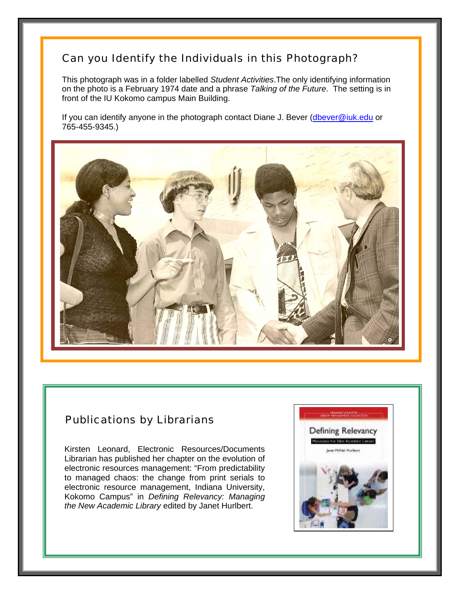### Can you Identify the Individuals in this Photograph?

This photograph was in a folder labelled *Student Activities*.The only identifying information on the photo is a February 1974 date and a phrase *Talking of the Future*. The setting is in front of the IU Kokomo campus Main Building.

If you can identify anyone in the photograph contact Diane J. Bever [\(dbever@iuk.edu](mailto:dbever@iuk.edu) or 765-455-9345.)



#### Publications by Librarians

Kirsten Leonard, Electronic Resources/Documents Librarian has published her chapter on the evolution of electronic resources management: "From predictability to managed chaos: the change from print serials to electronic resource management, Indiana University, Kokomo Campus" in *Defining Relevancy: Managing the New Academic Library* edited by Janet Hurlbert.

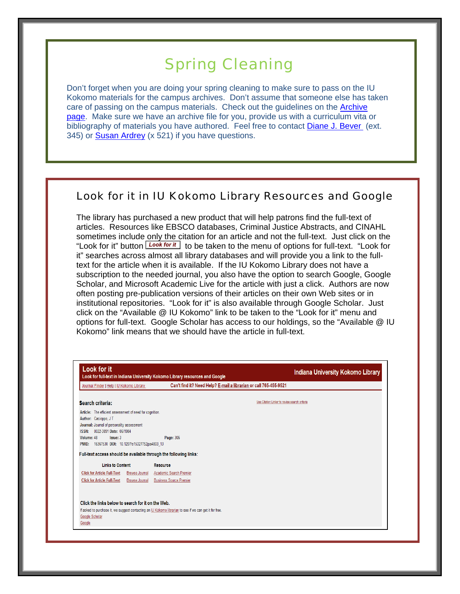# Spring Cleaning

Don't forget when you are doing your spring cleaning to make sure to pass on the IU Kokomo materials for the campus archives. Don't assume that someone else has taken care of passing on the campus materials. Check out the guidelines on the [Archive](http://www.iuk.edu/%7Ekolibry/LibCollections/Archives.shtml)  [page](http://www.iuk.edu/%7Ekolibry/LibCollections/Archives.shtml). Make sure we have an archive file for you, provide us with a curriculum vita or bibliography of materials you have authored. Feel free to contact [Diane J. Bever](mailto:dbever@iuk.edu) (ext. 345) or [Susan Ardrey](mailto:sardrey@iuk.edu) (x 521) if you have questions.

#### Look for it in IU Kokomo Library Resources and Google

The library has purchased a new product that will help patrons find the full-text of articles. Resources like EBSCO databases, Criminal Justice Abstracts, and CINAHL sometimes include only the citation for an article and not the full-text. Just click on the "Look for it" button **Look for it** to be taken to the menu of options for full-text. "Look for it" searches across almost all library databases and will provide you a link to the fulltext for the article when it is available. If the IU Kokomo Library does not have a subscription to the needed journal, you also have the option to search Google, Google Scholar, and Microsoft Academic Live for the article with just a click. Authors are now often posting pre-publication versions of their articles on their own Web sites or in institutional repositories. "Look for it" is also available through Google Scholar. Just click on the "Available @ IU Kokomo" link to be taken to the "Look for it" menu and options for full-text. Google Scholar has access to our holdings, so the "Available @ IU Kokomo" link means that we should have the article in full-text.

| Journal Finder   Help   IU Kokomo Library                                    |                       | Can't find it? Need Help? E-mail a librarian or call 765-455-9521                                       |                                               |  |
|------------------------------------------------------------------------------|-----------------------|---------------------------------------------------------------------------------------------------------|-----------------------------------------------|--|
|                                                                              |                       |                                                                                                         |                                               |  |
| Search criteria:                                                             |                       |                                                                                                         | Use Citation Linker to revise search criteria |  |
| Article: The efficient assessment of need for cognition.                     |                       |                                                                                                         |                                               |  |
| Author: Cacioppo, JT                                                         |                       |                                                                                                         |                                               |  |
| Journal: Journal of personality assessment                                   |                       |                                                                                                         |                                               |  |
| 0022-3891 Date: 06/1984<br><b>ISSN:</b>                                      |                       |                                                                                                         |                                               |  |
| Volume: 48<br>Issue: 3<br>16367530 DOI: 10.1207/s15327752jpa4803_13<br>PMID: |                       | Page: 306                                                                                               |                                               |  |
|                                                                              |                       |                                                                                                         |                                               |  |
|                                                                              |                       | Full-text access should be available through the following links:                                       |                                               |  |
| <b>Links to Content</b>                                                      |                       | <b>Resource</b>                                                                                         |                                               |  |
| <b>Click for Article Full-Text</b>                                           | <b>Browse Journal</b> | Academic Search Premier                                                                                 |                                               |  |
| <b>Click for Article Full-Text</b>                                           | <b>Browse Journal</b> | <b>Business Source Premier</b>                                                                          |                                               |  |
|                                                                              |                       |                                                                                                         |                                               |  |
|                                                                              |                       |                                                                                                         |                                               |  |
| Click the links below to search for it on the Web.                           |                       |                                                                                                         |                                               |  |
|                                                                              |                       | If asked to purchase it, we suggest contacting an IU Kokomo librarian to see if we can get it for free. |                                               |  |
|                                                                              |                       |                                                                                                         |                                               |  |
| Google Scholar                                                               |                       |                                                                                                         |                                               |  |